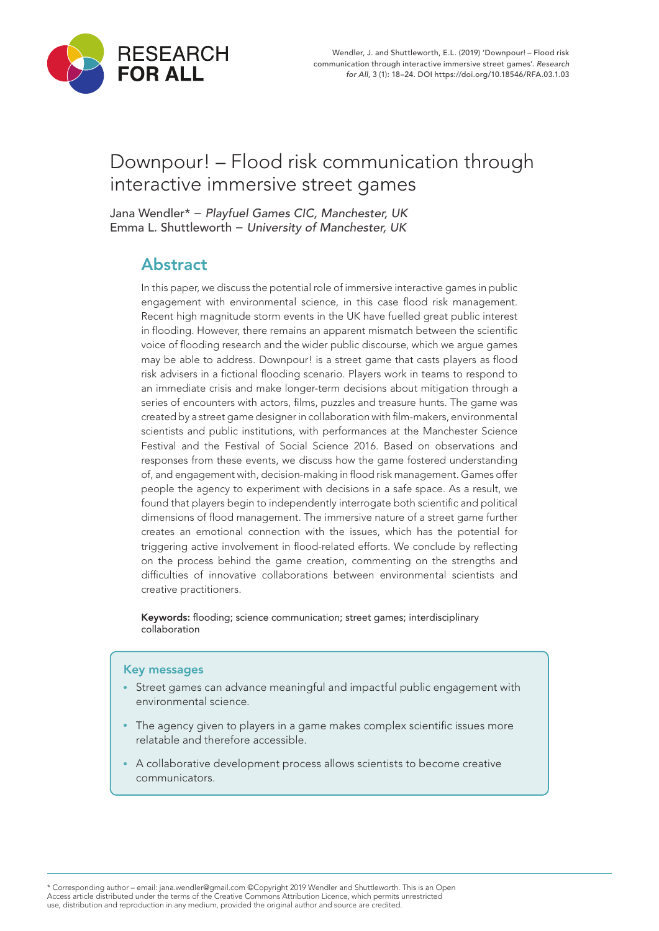

# Downpour! – Flood risk communication through interactive immersive street games

Jana Wendler\* − *Playfuel Games CIC, Manchester, UK* Emma L. Shuttleworth − *University of Manchester, UK*

## Abstract

In this paper, we discuss the potential role of immersive interactive games in public engagement with environmental science, in this case flood risk management. Recent high magnitude storm events in the UK have fuelled great public interest in flooding. However, there remains an apparent mismatch between the scientific voice of flooding research and the wider public discourse, which we argue games may be able to address. Downpour! is a street game that casts players as flood risk advisers in a fictional flooding scenario. Players work in teams to respond to an immediate crisis and make longer-term decisions about mitigation through a series of encounters with actors, films, puzzles and treasure hunts. The game was created by a street game designer in collaboration with film-makers, environmental scientists and public institutions, with performances at the Manchester Science Festival and the Festival of Social Science 2016. Based on observations and responses from these events, we discuss how the game fostered understanding of, and engagement with, decision-making in flood risk management. Games offer people the agency to experiment with decisions in a safe space. As a result, we found that players begin to independently interrogate both scientific and political dimensions of flood management. The immersive nature of a street game further creates an emotional connection with the issues, which has the potential for triggering active involvement in flood-related efforts. We conclude by reflecting on the process behind the game creation, commenting on the strengths and difficulties of innovative collaborations between environmental scientists and creative practitioners.

Keywords: flooding; science communication; street games; interdisciplinary collaboration

#### Key messages

- Street games can advance meaningful and impactful public engagement with environmental science.
- The agency given to players in a game makes complex scientific issues more relatable and therefore accessible.
- A collaborative development process allows scientists to become creative communicators.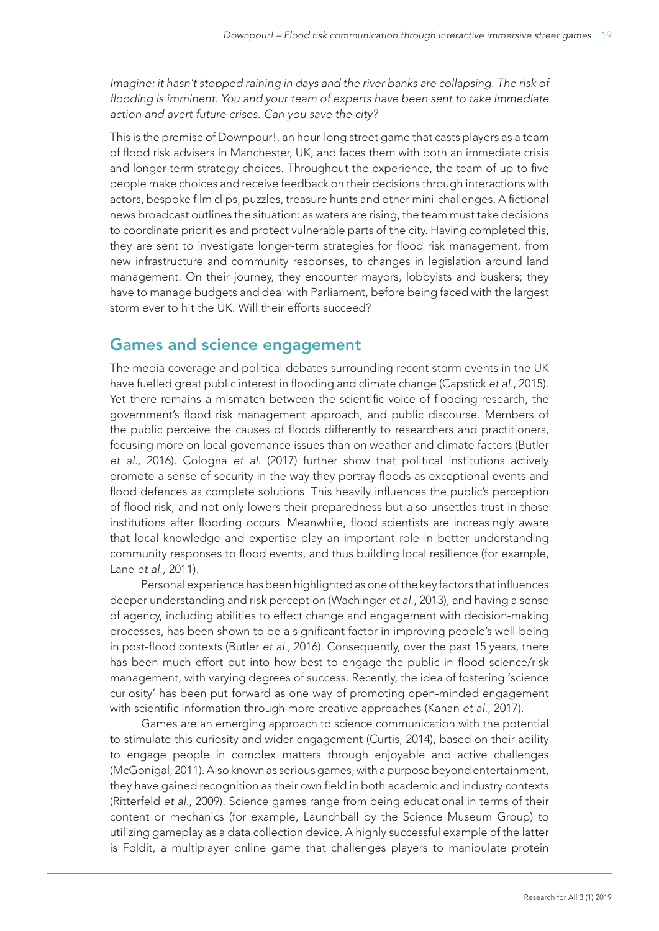*Imagine: it hasn't stopped raining in days and the river banks are collapsing. The risk of flooding is imminent. You and your team of experts have been sent to take immediate action and avert future crises. Can you save the city?*

This is the premise of Downpour!, an hour-long street game that casts players as a team of flood risk advisers in Manchester, UK, and faces them with both an immediate crisis and longer-term strategy choices. Throughout the experience, the team of up to five people make choices and receive feedback on their decisions through interactions with actors, bespoke film clips, puzzles, treasure hunts and other mini-challenges. A fictional news broadcast outlines the situation: as waters are rising, the team must take decisions to coordinate priorities and protect vulnerable parts of the city. Having completed this, they are sent to investigate longer-term strategies for flood risk management, from new infrastructure and community responses, to changes in legislation around land management. On their journey, they encounter mayors, lobbyists and buskers; they have to manage budgets and deal with Parliament, before being faced with the largest storm ever to hit the UK. Will their efforts succeed?

#### Games and science engagement

The media coverage and political debates surrounding recent storm events in the UK have fuelled great public interest in flooding and climate change (Capstick *et al*., 2015). Yet there remains a mismatch between the scientific voice of flooding research, the government's flood risk management approach, and public discourse. Members of the public perceive the causes of floods differently to researchers and practitioners, focusing more on local governance issues than on weather and climate factors (Butler *et al*., 2016). Cologna *et al*. (2017) further show that political institutions actively promote a sense of security in the way they portray floods as exceptional events and flood defences as complete solutions. This heavily influences the public's perception of flood risk, and not only lowers their preparedness but also unsettles trust in those institutions after flooding occurs. Meanwhile, flood scientists are increasingly aware that local knowledge and expertise play an important role in better understanding community responses to flood events, and thus building local resilience (for example, Lane *et al.*, 2011).

Personal experience has been highlighted as one of the key factors that influences deeper understanding and risk perception (Wachinger *et al*., 2013), and having a sense of agency, including abilities to effect change and engagement with decision-making processes, has been shown to be a significant factor in improving people's well-being in post-flood contexts (Butler *et al*., 2016). Consequently, over the past 15 years, there has been much effort put into how best to engage the public in flood science/risk management, with varying degrees of success. Recently, the idea of fostering 'science curiosity' has been put forward as one way of promoting open-minded engagement with scientific information through more creative approaches (Kahan *et al*., 2017).

Games are an emerging approach to science communication with the potential to stimulate this curiosity and wider engagement (Curtis, 2014), based on their ability to engage people in complex matters through enjoyable and active challenges (McGonigal, 2011). Also known as serious games, with a purpose beyond entertainment, they have gained recognition as their own field in both academic and industry contexts (Ritterfeld *et al*., 2009). Science games range from being educational in terms of their content or mechanics (for example, Launchball by the Science Museum Group) to utilizing gameplay as a data collection device. A highly successful example of the latter is Foldit, a multiplayer online game that challenges players to manipulate protein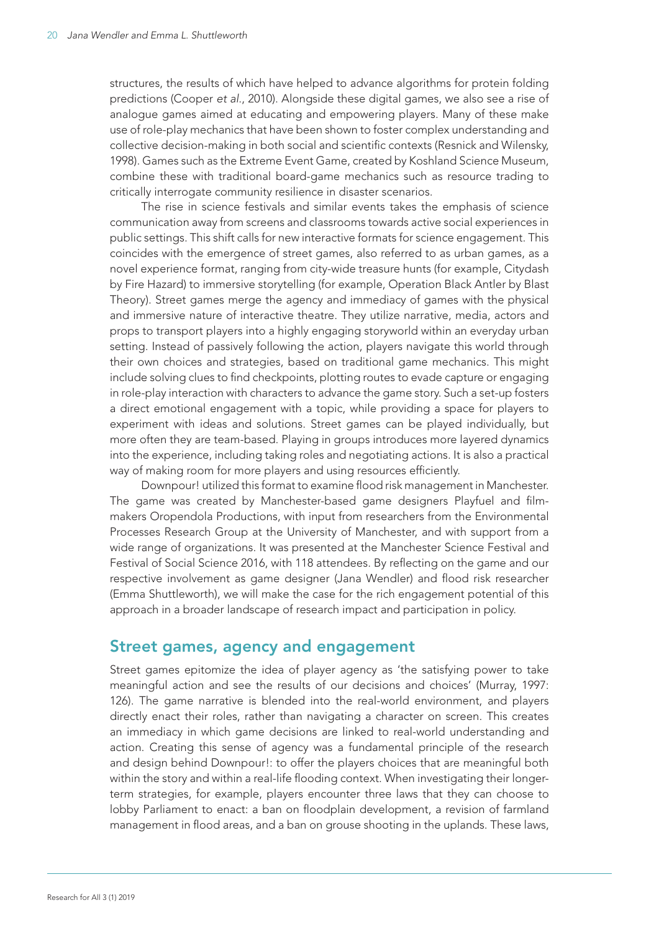structures, the results of which have helped to advance algorithms for protein folding predictions (Cooper *et al*., 2010). Alongside these digital games, we also see a rise of analogue games aimed at educating and empowering players. Many of these make use of role-play mechanics that have been shown to foster complex understanding and collective decision-making in both social and scientific contexts (Resnick and Wilensky, 1998). Games such as the Extreme Event Game, created by Koshland Science Museum, combine these with traditional board-game mechanics such as resource trading to critically interrogate community resilience in disaster scenarios.

The rise in science festivals and similar events takes the emphasis of science communication away from screens and classrooms towards active social experiences in public settings. This shift calls for new interactive formats for science engagement. This coincides with the emergence of street games, also referred to as urban games, as a novel experience format, ranging from city-wide treasure hunts (for example, Citydash by Fire Hazard) to immersive storytelling (for example, Operation Black Antler by Blast Theory). Street games merge the agency and immediacy of games with the physical and immersive nature of interactive theatre. They utilize narrative, media, actors and props to transport players into a highly engaging storyworld within an everyday urban setting. Instead of passively following the action, players navigate this world through their own choices and strategies, based on traditional game mechanics. This might include solving clues to find checkpoints, plotting routes to evade capture or engaging in role-play interaction with characters to advance the game story. Such a set-up fosters a direct emotional engagement with a topic, while providing a space for players to experiment with ideas and solutions. Street games can be played individually, but more often they are team-based. Playing in groups introduces more layered dynamics into the experience, including taking roles and negotiating actions. It is also a practical way of making room for more players and using resources efficiently.

Downpour! utilized this format to examine flood risk management in Manchester. The game was created by Manchester-based game designers Playfuel and filmmakers Oropendola Productions, with input from researchers from the Environmental Processes Research Group at the University of Manchester, and with support from a wide range of organizations. It was presented at the Manchester Science Festival and Festival of Social Science 2016, with 118 attendees. By reflecting on the game and our respective involvement as game designer (Jana Wendler) and flood risk researcher (Emma Shuttleworth), we will make the case for the rich engagement potential of this approach in a broader landscape of research impact and participation in policy.

#### Street games, agency and engagement

Street games epitomize the idea of player agency as 'the satisfying power to take meaningful action and see the results of our decisions and choices' (Murray, 1997: 126). The game narrative is blended into the real-world environment, and players directly enact their roles, rather than navigating a character on screen. This creates an immediacy in which game decisions are linked to real-world understanding and action. Creating this sense of agency was a fundamental principle of the research and design behind Downpour!: to offer the players choices that are meaningful both within the story and within a real-life flooding context. When investigating their longerterm strategies, for example, players encounter three laws that they can choose to lobby Parliament to enact: a ban on floodplain development, a revision of farmland management in flood areas, and a ban on grouse shooting in the uplands. These laws,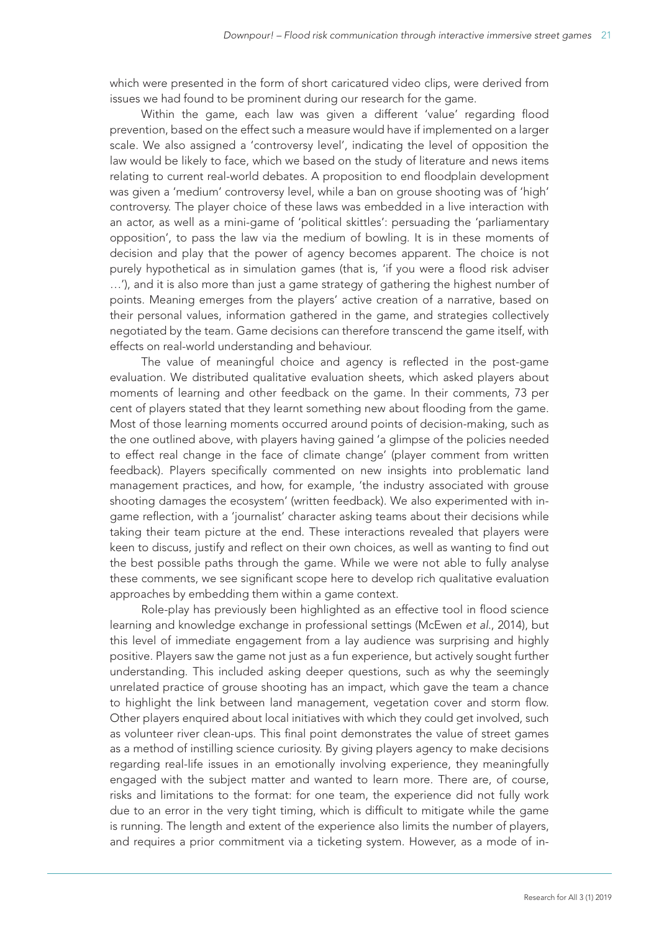which were presented in the form of short caricatured video clips, were derived from issues we had found to be prominent during our research for the game.

Within the game, each law was given a different 'value' regarding flood prevention, based on the effect such a measure would have if implemented on a larger scale. We also assigned a 'controversy level', indicating the level of opposition the law would be likely to face, which we based on the study of literature and news items relating to current real-world debates. A proposition to end floodplain development was given a 'medium' controversy level, while a ban on grouse shooting was of 'high' controversy. The player choice of these laws was embedded in a live interaction with an actor, as well as a mini-game of 'political skittles': persuading the 'parliamentary opposition', to pass the law via the medium of bowling. It is in these moments of decision and play that the power of agency becomes apparent. The choice is not purely hypothetical as in simulation games (that is, 'if you were a flood risk adviser …'), and it is also more than just a game strategy of gathering the highest number of points. Meaning emerges from the players' active creation of a narrative, based on their personal values, information gathered in the game, and strategies collectively negotiated by the team. Game decisions can therefore transcend the game itself, with effects on real-world understanding and behaviour.

The value of meaningful choice and agency is reflected in the post-game evaluation. We distributed qualitative evaluation sheets, which asked players about moments of learning and other feedback on the game. In their comments, 73 per cent of players stated that they learnt something new about flooding from the game. Most of those learning moments occurred around points of decision-making, such as the one outlined above, with players having gained 'a glimpse of the policies needed to effect real change in the face of climate change' (player comment from written feedback). Players specifically commented on new insights into problematic land management practices, and how, for example, 'the industry associated with grouse shooting damages the ecosystem' (written feedback). We also experimented with ingame reflection, with a 'journalist' character asking teams about their decisions while taking their team picture at the end. These interactions revealed that players were keen to discuss, justify and reflect on their own choices, as well as wanting to find out the best possible paths through the game. While we were not able to fully analyse these comments, we see significant scope here to develop rich qualitative evaluation approaches by embedding them within a game context.

Role-play has previously been highlighted as an effective tool in flood science learning and knowledge exchange in professional settings (McEwen *et al*., 2014), but this level of immediate engagement from a lay audience was surprising and highly positive. Players saw the game not just as a fun experience, but actively sought further understanding. This included asking deeper questions, such as why the seemingly unrelated practice of grouse shooting has an impact, which gave the team a chance to highlight the link between land management, vegetation cover and storm flow. Other players enquired about local initiatives with which they could get involved, such as volunteer river clean-ups. This final point demonstrates the value of street games as a method of instilling science curiosity. By giving players agency to make decisions regarding real-life issues in an emotionally involving experience, they meaningfully engaged with the subject matter and wanted to learn more. There are, of course, risks and limitations to the format: for one team, the experience did not fully work due to an error in the very tight timing, which is difficult to mitigate while the game is running. The length and extent of the experience also limits the number of players, and requires a prior commitment via a ticketing system. However, as a mode of in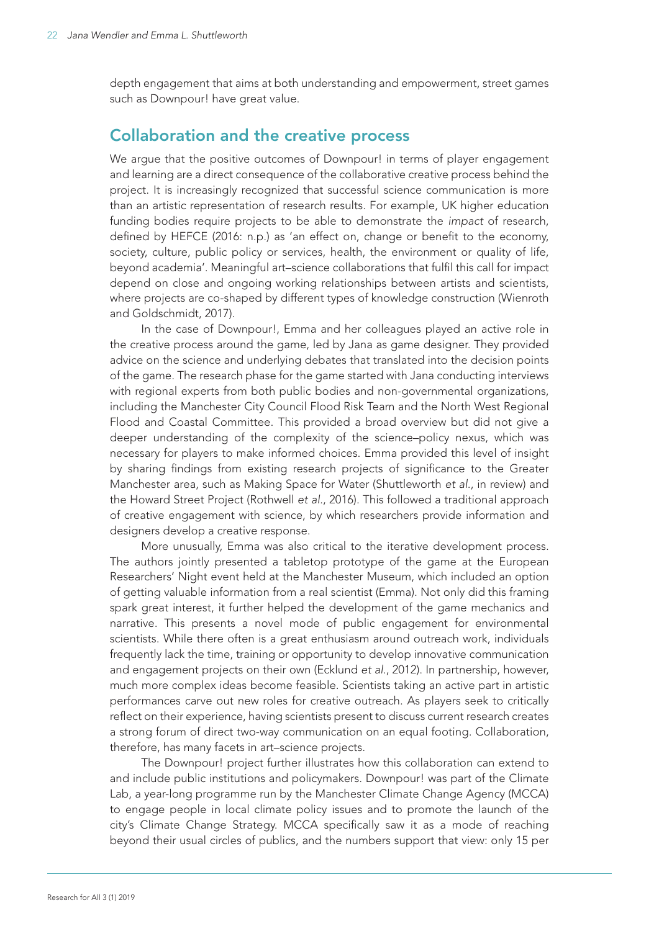depth engagement that aims at both understanding and empowerment, street games such as Downpour! have great value.

#### Collaboration and the creative process

We arque that the positive outcomes of Downpour! in terms of player engagement and learning are a direct consequence of the collaborative creative process behind the project. It is increasingly recognized that successful science communication is more than an artistic representation of research results. For example, UK higher education funding bodies require projects to be able to demonstrate the *impact* of research, defined by HEFCE (2016: n.p.) as 'an effect on, change or benefit to the economy, society, culture, public policy or services, health, the environment or quality of life, beyond academia'. Meaningful art–science collaborations that fulfil this call for impact depend on close and ongoing working relationships between artists and scientists, where projects are co-shaped by different types of knowledge construction (Wienroth and Goldschmidt, 2017).

In the case of Downpour!, Emma and her colleagues played an active role in the creative process around the game, led by Jana as game designer. They provided advice on the science and underlying debates that translated into the decision points of the game. The research phase for the game started with Jana conducting interviews with regional experts from both public bodies and non-governmental organizations, including the Manchester City Council Flood Risk Team and the North West Regional Flood and Coastal Committee. This provided a broad overview but did not give a deeper understanding of the complexity of the science–policy nexus, which was necessary for players to make informed choices. Emma provided this level of insight by sharing findings from existing research projects of significance to the Greater Manchester area, such as Making Space for Water (Shuttleworth *et al*., in review) and the Howard Street Project (Rothwell *et al.*, 2016). This followed a traditional approach of creative engagement with science, by which researchers provide information and designers develop a creative response.

More unusually, Emma was also critical to the iterative development process. The authors jointly presented a tabletop prototype of the game at the European Researchers' Night event held at the Manchester Museum, which included an option of getting valuable information from a real scientist (Emma). Not only did this framing spark great interest, it further helped the development of the game mechanics and narrative. This presents a novel mode of public engagement for environmental scientists. While there often is a great enthusiasm around outreach work, individuals frequently lack the time, training or opportunity to develop innovative communication and engagement projects on their own (Ecklund *et al*., 2012). In partnership, however, much more complex ideas become feasible. Scientists taking an active part in artistic performances carve out new roles for creative outreach. As players seek to critically reflect on their experience, having scientists present to discuss current research creates a strong forum of direct two-way communication on an equal footing. Collaboration, therefore, has many facets in art–science projects.

The Downpour! project further illustrates how this collaboration can extend to and include public institutions and policymakers. Downpour! was part of the Climate Lab, a year-long programme run by the Manchester Climate Change Agency (MCCA) to engage people in local climate policy issues and to promote the launch of the city's Climate Change Strategy. MCCA specifically saw it as a mode of reaching beyond their usual circles of publics, and the numbers support that view: only 15 per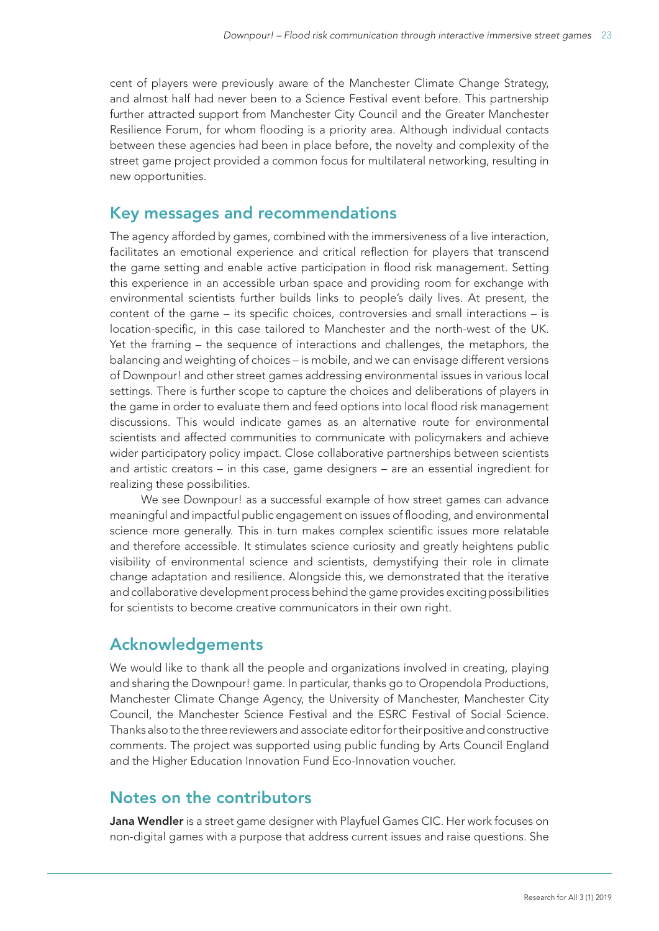cent of players were previously aware of the Manchester Climate Change Strategy, and almost half had never been to a Science Festival event before. This partnership further attracted support from Manchester City Council and the Greater Manchester Resilience Forum, for whom flooding is a priority area. Although individual contacts between these agencies had been in place before, the novelty and complexity of the street game project provided a common focus for multilateral networking, resulting in new opportunities.

#### Key messages and recommendations

The agency afforded by games, combined with the immersiveness of a live interaction, facilitates an emotional experience and critical reflection for players that transcend the game setting and enable active participation in flood risk management. Setting this experience in an accessible urban space and providing room for exchange with environmental scientists further builds links to people's daily lives. At present, the content of the game – its specific choices, controversies and small interactions – is location-specific, in this case tailored to Manchester and the north-west of the UK. Yet the framing – the sequence of interactions and challenges, the metaphors, the balancing and weighting of choices – is mobile, and we can envisage different versions of Downpour! and other street games addressing environmental issues in various local settings. There is further scope to capture the choices and deliberations of players in the game in order to evaluate them and feed options into local flood risk management discussions. This would indicate games as an alternative route for environmental scientists and affected communities to communicate with policymakers and achieve wider participatory policy impact. Close collaborative partnerships between scientists and artistic creators – in this case, game designers – are an essential ingredient for realizing these possibilities.

We see Downpour! as a successful example of how street games can advance meaningful and impactful public engagement on issues of flooding, and environmental science more generally. This in turn makes complex scientific issues more relatable and therefore accessible. It stimulates science curiosity and greatly heightens public visibility of environmental science and scientists, demystifying their role in climate change adaptation and resilience. Alongside this, we demonstrated that the iterative and collaborative development process behind the game provides exciting possibilities for scientists to become creative communicators in their own right.

### Acknowledgements

We would like to thank all the people and organizations involved in creating, playing and sharing the Downpour! game. In particular, thanks go to Oropendola Productions, Manchester Climate Change Agency, the University of Manchester, Manchester City Council, the Manchester Science Festival and the ESRC Festival of Social Science. Thanks also to the three reviewers and associate editor for their positive and constructive comments. The project was supported using public funding by Arts Council England and the Higher Education Innovation Fund Eco-Innovation voucher.

#### Notes on the contributors

Jana Wendler is a street game designer with Playfuel Games CIC. Her work focuses on non-digital games with a purpose that address current issues and raise questions. She